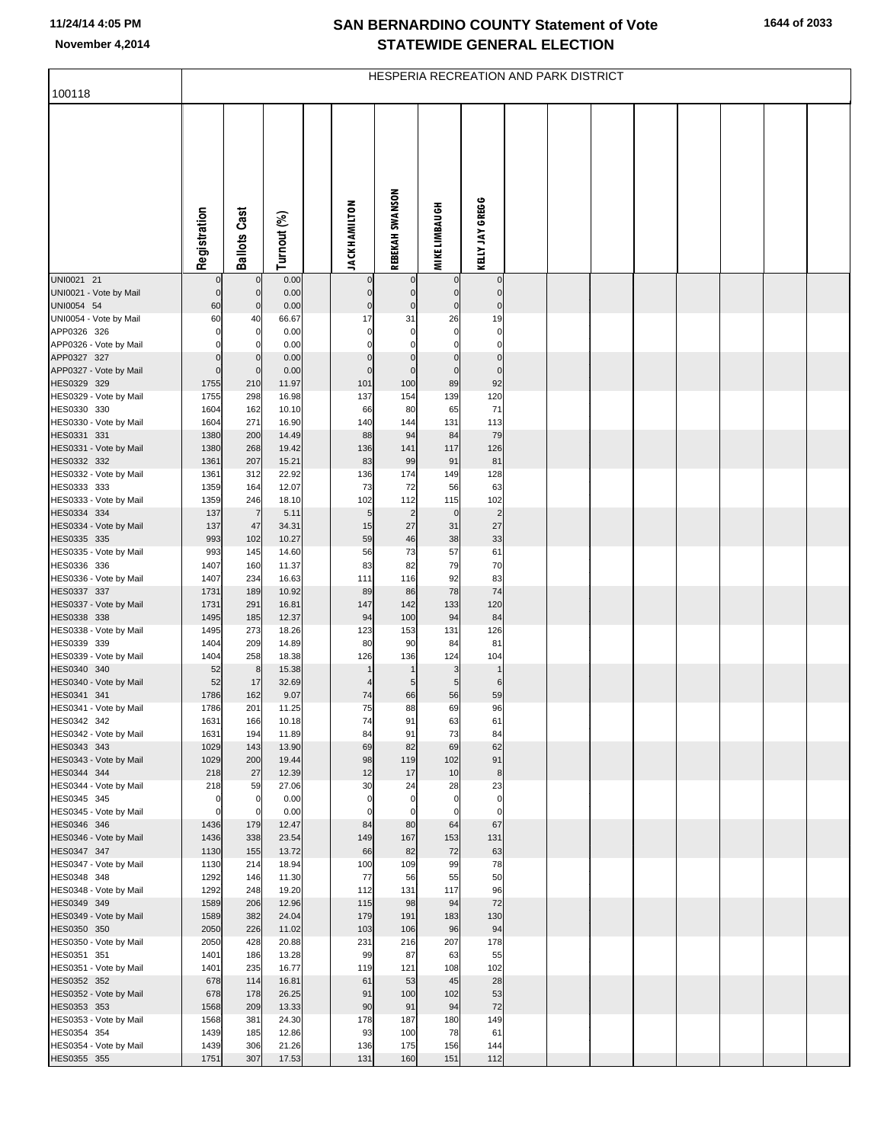## **SAN BERNARDINO COUNTY Statement of Vote November 4,2014 STATEWIDE GENERAL ELECTION**

| 100118                                | HESPERIA RECREATION AND PARK DISTRICT |                            |                |  |                        |                            |                            |                            |  |  |  |  |  |  |  |
|---------------------------------------|---------------------------------------|----------------------------|----------------|--|------------------------|----------------------------|----------------------------|----------------------------|--|--|--|--|--|--|--|
|                                       |                                       |                            |                |  |                        |                            |                            |                            |  |  |  |  |  |  |  |
|                                       |                                       |                            |                |  |                        |                            |                            |                            |  |  |  |  |  |  |  |
|                                       |                                       |                            |                |  |                        |                            |                            |                            |  |  |  |  |  |  |  |
|                                       |                                       |                            |                |  |                        |                            |                            |                            |  |  |  |  |  |  |  |
|                                       |                                       |                            |                |  |                        |                            |                            |                            |  |  |  |  |  |  |  |
|                                       |                                       |                            |                |  |                        |                            |                            |                            |  |  |  |  |  |  |  |
|                                       |                                       |                            |                |  |                        |                            |                            |                            |  |  |  |  |  |  |  |
|                                       | Registration                          | <b>Ballots Cast</b>        |                |  |                        | REBEKAH SWANSON            | <b>MIKE LIMBAUGH</b>       | KELLY JAY GREGG            |  |  |  |  |  |  |  |
|                                       |                                       |                            | Turnout (%)    |  | <b>JACK HAMILTON</b>   |                            |                            |                            |  |  |  |  |  |  |  |
| UNI0021 21                            | $\mathbf 0$                           | 0                          | 0.00           |  | 0                      | 0                          | 0                          | $\mathbf 0$                |  |  |  |  |  |  |  |
| UNI0021 - Vote by Mail<br>UNI0054 54  | $\mathbf 0$<br>60                     | $\mathbf 0$<br>$\mathbf 0$ | 0.00<br>0.00   |  | $\pmb{0}$<br>$\pmb{0}$ | $\pmb{0}$<br>$\pmb{0}$     | $\mathbf 0$<br>$\mathbf 0$ | $\mathbf 0$<br>$\mathbf 0$ |  |  |  |  |  |  |  |
| UNI0054 - Vote by Mail                | 60                                    | 40                         | 66.67          |  | 17                     | 31                         | 26                         | 19                         |  |  |  |  |  |  |  |
| APP0326 326                           | $\Omega$<br>$\Omega$                  | 0<br>C.                    | 0.00           |  | 0<br>$\Omega$          | $\mathbf 0$<br>$\mathbf 0$ | $\mathbf 0$<br>$\mathbf 0$ | $\mathbf 0$<br>$\mathbf 0$ |  |  |  |  |  |  |  |
| APP0326 - Vote by Mail<br>APP0327 327 | $\Omega$                              | $\mathbf 0$                | 0.00<br>0.00   |  | $\pmb{0}$              | $\pmb{0}$                  | $\bf 0$                    | $\mathbf 0$                |  |  |  |  |  |  |  |
| APP0327 - Vote by Mail                | $\Omega$                              | $\mathbf 0$                | 0.00           |  | $\mathbf 0$            | $\mathbf 0$                | $\mathbf 0$                | $\mathbf{0}$               |  |  |  |  |  |  |  |
| HES0329 329<br>HES0329 - Vote by Mail | 1755<br>1755                          | 210<br>298                 | 11.97<br>16.98 |  | 101<br>137             | 100<br>154                 | 89<br>139                  | 92<br>120                  |  |  |  |  |  |  |  |
| HES0330 330                           | 1604                                  | 162                        | 10.10          |  | 66                     | 80                         | 65                         | 71                         |  |  |  |  |  |  |  |
| HES0330 - Vote by Mail                | 1604                                  | 271                        | 16.90          |  | 140                    | 144                        | 131                        | 113                        |  |  |  |  |  |  |  |
| HES0331 331<br>HES0331 - Vote by Mail | 1380<br>1380                          | 200<br>268                 | 14.49<br>19.42 |  | 88<br>136              | 94<br>141                  | 84<br>117                  | 79<br>126                  |  |  |  |  |  |  |  |
| HES0332 332                           | 1361                                  | 207                        | 15.21          |  | 83                     | 99                         | 91                         | 81                         |  |  |  |  |  |  |  |
| HES0332 - Vote by Mail<br>HES0333 333 | 1361<br>1359                          | 312<br>164                 | 22.92<br>12.07 |  | 136<br>73              | 174<br>72                  | 149<br>56                  | 128<br>63                  |  |  |  |  |  |  |  |
| HES0333 - Vote by Mail                | 1359                                  | 246                        | 18.10          |  | 102                    | 112                        | 115                        | 102                        |  |  |  |  |  |  |  |
| HES0334 334<br>HES0334 - Vote by Mail | 137<br>137                            | $\overline{7}$<br>47       | 5.11<br>34.31  |  | $\sqrt{5}$<br>15       | $\overline{2}$<br>27       | $\mathbf 0$<br>31          | $\overline{2}$<br>27       |  |  |  |  |  |  |  |
| HES0335 335                           | 993                                   | 102                        | 10.27          |  | 59                     | 46                         | 38                         | 33                         |  |  |  |  |  |  |  |
| HES0335 - Vote by Mail                | 993                                   | 145                        | 14.60          |  | 56                     | 73                         | 57                         | 61                         |  |  |  |  |  |  |  |
| HES0336 336<br>HES0336 - Vote by Mail | 1407<br>1407                          | 160<br>234                 | 11.37<br>16.63 |  | 83<br>111              | 82<br>116                  | 79<br>92                   | 70<br>83                   |  |  |  |  |  |  |  |
| HES0337 337                           | 1731                                  | 189                        | 10.92          |  | 89                     | 86                         | 78                         | 74                         |  |  |  |  |  |  |  |
| HES0337 - Vote by Mail<br>HES0338 338 | 1731<br>1495                          | 291<br>185                 | 16.81<br>12.37 |  | 147<br>94              | 142<br>100                 | 133<br>94                  | 120<br>84                  |  |  |  |  |  |  |  |
| HES0338 - Vote by Mail                | 1495                                  | 273                        | 18.26          |  | 123                    | 153                        | 131                        | 126                        |  |  |  |  |  |  |  |
| HES0339 339<br>HES0339 - Vote by Mail | 1404<br>1404                          | 209<br>258                 | 14.89<br>18.38 |  | 80<br>126              | 90<br>136                  | 84<br>124                  | 81<br>104                  |  |  |  |  |  |  |  |
| HES0340 340                           | 52                                    | $\,$ 8                     | 15.38          |  |                        | $\mathbf{1}$               | 3                          | $\mathbf{1}$               |  |  |  |  |  |  |  |
| HES0340 - Vote by Mail                | 52                                    | 17                         | 32.69          |  |                        | $\sqrt{5}$                 | 5                          | $6\phantom{1}6$            |  |  |  |  |  |  |  |
| HES0341 341<br>HES0341 - Vote by Mail | 1786<br>1786                          | 162<br>201                 | 9.07<br>11.25  |  | 74<br>75               | 66<br>88                   | 56<br>69                   | 59<br>96                   |  |  |  |  |  |  |  |
| HES0342 342                           | 1631                                  | 166                        | 10.18          |  | 74                     | 91                         | 63                         | 61                         |  |  |  |  |  |  |  |
| HES0342 - Vote by Mail<br>HES0343 343 | 1631<br>1029                          | 194<br>143                 | 11.89<br>13.90 |  | 84<br>69               | 91<br>82                   | 73<br>69                   | 84<br>62                   |  |  |  |  |  |  |  |
| HES0343 - Vote by Mail                | 1029                                  | 200                        | 19.44          |  | 98                     | 119                        | 102                        | 91                         |  |  |  |  |  |  |  |
| HES0344 344<br>HES0344 - Vote by Mail | 218<br>218                            | 27                         | 12.39<br>27.06 |  | 12<br>30               | 17<br>24                   | 10<br>28                   | 8<br>23                    |  |  |  |  |  |  |  |
| HES0345 345                           | $\mathbf 0$                           | 59<br>0                    | 0.00           |  | 0                      | $\mathbf 0$                | 0                          | $\mathbf 0$                |  |  |  |  |  |  |  |
| HES0345 - Vote by Mail                | $\mathbf 0$                           | 0                          | 0.00           |  | $\Omega$               | $\mathbf 0$                | $\overline{0}$             | $\mathbf 0$                |  |  |  |  |  |  |  |
| HES0346 346<br>HES0346 - Vote by Mail | 1436<br>1436                          | 179<br>338                 | 12.47<br>23.54 |  | 84<br>149              | 80<br>167                  | 64<br>153                  | 67<br>131                  |  |  |  |  |  |  |  |
| HES0347 347                           | 1130                                  | 155                        | 13.72          |  | 66                     | 82                         | 72                         | 63                         |  |  |  |  |  |  |  |
| HES0347 - Vote by Mail<br>HES0348 348 | 1130<br>1292                          | 214<br>146                 | 18.94<br>11.30 |  | 100<br>77              | 109<br>56                  | 99<br>55                   | 78<br>50                   |  |  |  |  |  |  |  |
| HES0348 - Vote by Mail                | 1292                                  | 248                        | 19.20          |  | 112                    | 131                        | 117                        | 96                         |  |  |  |  |  |  |  |
| HES0349 349                           | 1589                                  | 206                        | 12.96          |  | 115                    | 98                         | 94                         | 72                         |  |  |  |  |  |  |  |
| HES0349 - Vote by Mail<br>HES0350 350 | 1589<br>2050                          | 382<br>226                 | 24.04<br>11.02 |  | 179<br>103             | 191<br>106                 | 183<br>96                  | 130<br>94                  |  |  |  |  |  |  |  |
| HES0350 - Vote by Mail                | 2050                                  | 428                        | 20.88          |  | 231                    | 216                        | 207                        | 178                        |  |  |  |  |  |  |  |
| HES0351 351<br>HES0351 - Vote by Mail | 1401<br>1401                          | 186<br>235                 | 13.28<br>16.77 |  | 99<br>119              | 87<br>121                  | 63<br>108                  | 55<br>102                  |  |  |  |  |  |  |  |
| HES0352 352                           | 678                                   | 114                        | 16.81          |  | 61                     | 53                         | 45                         | 28                         |  |  |  |  |  |  |  |
| HES0352 - Vote by Mail<br>HES0353 353 | 678<br>1568                           | 178<br>209                 | 26.25<br>13.33 |  | 91<br>90               | 100<br>91                  | 102<br>94                  | 53<br>72                   |  |  |  |  |  |  |  |
| HES0353 - Vote by Mail                | 1568                                  | 381                        | 24.30          |  | 178                    | 187                        | 180                        | 149                        |  |  |  |  |  |  |  |
| HES0354 354                           | 1439                                  | 185                        | 12.86          |  | 93                     | 100                        | 78                         | 61                         |  |  |  |  |  |  |  |
| HES0354 - Vote by Mail<br>HES0355 355 | 1439<br>1751                          | 306<br>307                 | 21.26<br>17.53 |  | 136<br>131             | 175<br>160                 | 156<br>151                 | 144<br>112                 |  |  |  |  |  |  |  |
|                                       |                                       |                            |                |  |                        |                            |                            |                            |  |  |  |  |  |  |  |